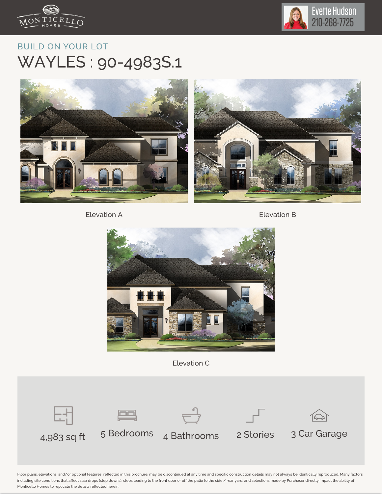



## BUILD ON YOUR LOT WAYLES : 90-4983S.1



Elevation A **Elevation B** 



Elevation C



Floor plans, elevations, and/or optional features, reflected in this brochure, may be discontinued at any time and specific construction details may not always be identically reproduced. Many factors including site conditions that affect slab drops (step downs), steps leading to the front door or off the patio to the side / rear yard, and selections made by Purchaser directly impact the ability of Monticello Homes to replicate the details reflected herein.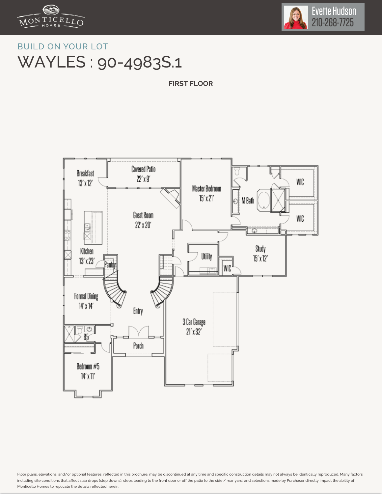



## BUILD ON YOUR LOT WAYLES : 90-4983S.1

**FIRST FLOOR**



Floor plans, elevations, and/or optional features, reflected in this brochure, may be discontinued at any time and specific construction details may not always be identically reproduced. Many factors including site conditions that affect slab drops (step downs), steps leading to the front door or off the patio to the side / rear yard, and selections made by Purchaser directly impact the ability of Monticello Homes to replicate the details reflected herein.